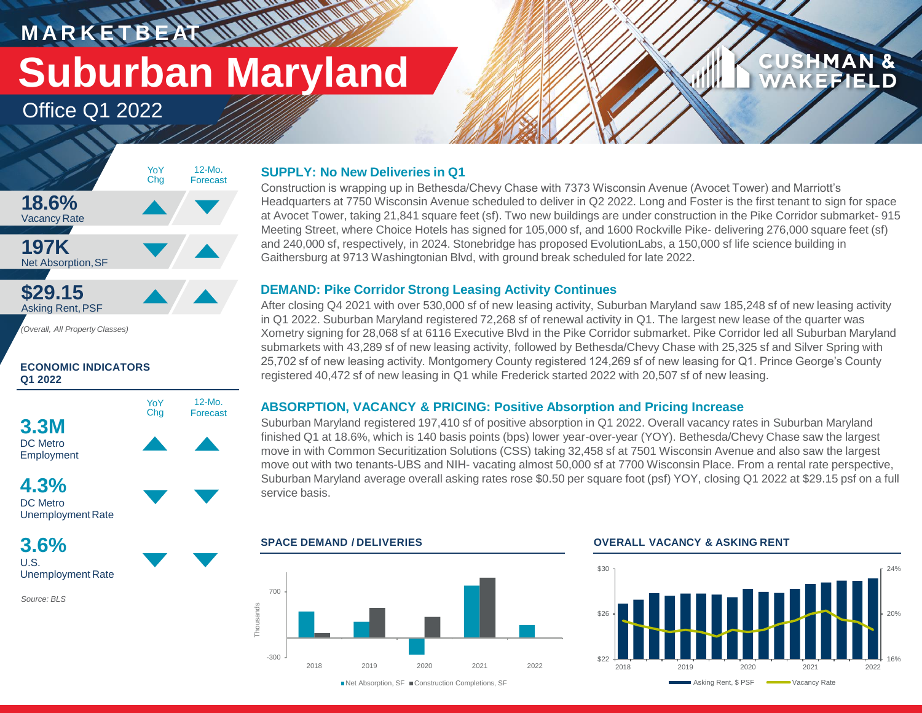# **M A R K E T B E AT Suburban Maryland**

**RANCH COMPANY** 

Office Q1 2022



*(Overall, All Property Classes)*

#### **ECONOMIC INDICATORS Q1 2022**



### **4.3%** DC Metro

UnemploymentRate

**3.6%** U.S. Unemployment Rate

*Source: BLS*

#### **SUPPLY: No New Deliveries in Q1**

Construction is wrapping up in Bethesda/Chevy Chase with 7373 Wisconsin Avenue (Avocet Tower) and Marriott's Headquarters at 7750 Wisconsin Avenue scheduled to deliver in Q2 2022. Long and Foster is the first tenant to sign for space at Avocet Tower, taking 21,841 square feet (sf). Two new buildings are under construction in the Pike Corridor submarket- 915 Meeting Street, where Choice Hotels has signed for 105,000 sf, and 1600 Rockville Pike- delivering 276,000 square feet (sf) and 240,000 sf, respectively, in 2024. Stonebridge has proposed EvolutionLabs, a 150,000 sf life science building in Gaithersburg at 9713 Washingtonian Blvd, with ground break scheduled for late 2022.

#### **DEMAND: Pike Corridor Strong Leasing Activity Continues**

After closing Q4 2021 with over 530,000 sf of new leasing activity, Suburban Maryland saw 185,248 sf of new leasing activity in Q1 2022. Suburban Maryland registered 72,268 sf of renewal activity in Q1. The largest new lease of the quarter was Xometry signing for 28,068 sf at 6116 Executive Blvd in the Pike Corridor submarket. Pike Corridor led all Suburban Maryland submarkets with 43,289 sf of new leasing activity, followed by Bethesda/Chevy Chase with 25,325 sf and Silver Spring with 25,702 sf of new leasing activity. Montgomery County registered 124,269 sf of new leasing for Q1. Prince George's County registered 40,472 sf of new leasing in Q1 while Frederick started 2022 with 20,507 sf of new leasing.

### **ABSORPTION, VACANCY & PRICING: Positive Absorption and Pricing Increase**

Suburban Maryland registered 197,410 sf of positive absorption in Q1 2022. Overall vacancy rates in Suburban Maryland finished Q1 at 18.6%, which is 140 basis points (bps) lower year-over-year (YOY). Bethesda/Chevy Chase saw the largest move in with Common Securitization Solutions (CSS) taking 32,458 sf at 7501 Wisconsin Avenue and also saw the largest move out with two tenants-UBS and NIH- vacating almost 50,000 sf at 7700 Wisconsin Place. From a rental rate perspective, Suburban Maryland average overall asking rates rose \$0.50 per square foot (psf) YOY, closing Q1 2022 at \$29.15 psf on a full service basis.



#### **SPACE DEMAND / DELIVERIES OVERALL VACANCY & ASKING RENT**



**CUSHMAN &** 

FFIEI D

■Net Absorption, SF ■ Construction Completions, SF